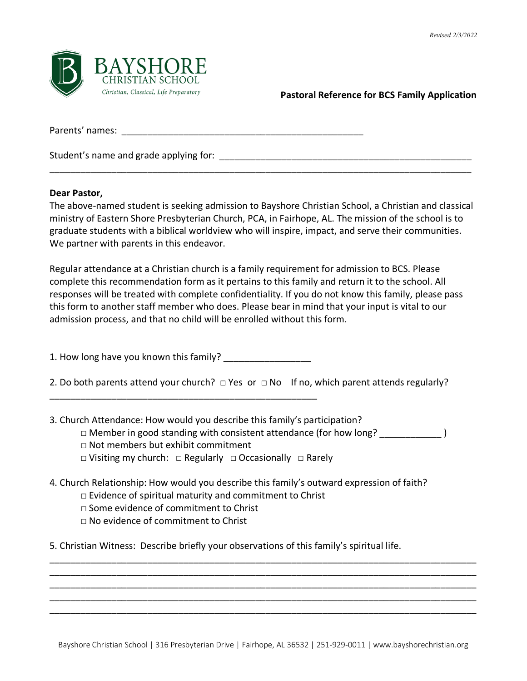

**Pastoral Reference for BCS Family Application**

Parents' names: \_\_\_\_\_\_\_\_\_\_\_\_\_\_\_\_\_\_\_\_\_\_\_\_\_\_\_\_\_\_\_\_\_\_\_\_\_\_\_\_\_\_\_\_\_\_\_

Student's name and grade applying for: **with all of the student's** name and grade applying for:

## **Dear Pastor,**

The above-named student is seeking admission to Bayshore Christian School, a Christian and classical ministry of Eastern Shore Presbyterian Church, PCA, in Fairhope, AL. The mission of the school is to graduate students with a biblical worldview who will inspire, impact, and serve their communities. We partner with parents in this endeavor.

\_\_\_\_\_\_\_\_\_\_\_\_\_\_\_\_\_\_\_\_\_\_\_\_\_\_\_\_\_\_\_\_\_\_\_\_\_\_\_\_\_\_\_\_\_\_\_\_\_\_\_\_\_\_\_\_\_\_\_\_\_\_\_\_\_\_\_\_\_\_\_\_\_\_\_\_\_\_\_\_\_\_

Regular attendance at a Christian church is a family requirement for admission to BCS. Please complete this recommendation form as it pertains to this family and return it to the school. All responses will be treated with complete confidentiality. If you do not know this family, please pass this form to another staff member who does. Please bear in mind that your input is vital to our admission process, and that no child will be enrolled without this form.

1. How long have you known this family?

\_\_\_\_\_\_\_\_\_\_\_\_\_\_\_\_\_\_\_\_\_\_\_\_\_\_\_\_\_\_\_\_\_\_\_\_\_\_\_\_\_\_\_\_\_\_\_\_\_\_\_\_

2. Do both parents attend your church? □ Yes or □ No If no, which parent attends regularly?

3. Church Attendance: How would you describe this family's participation?

- □ Member in good standing with consistent attendance (for how long?  $\Box$
- □ Not members but exhibit commitment
- □ Visiting my church: □ Regularly □ Occasionally □ Rarely
- 4. Church Relationship: How would you describe this family's outward expression of faith?
	- □ Evidence of spiritual maturity and commitment to Christ
	- □ Some evidence of commitment to Christ
	- $\nabla$  No evidence of commitment to Christ

5. Christian Witness: Describe briefly your observations of this family's spiritual life.

\_\_\_\_\_\_\_\_\_\_\_\_\_\_\_\_\_\_\_\_\_\_\_\_\_\_\_\_\_\_\_\_\_\_\_\_\_\_\_\_\_\_\_\_\_\_\_\_\_\_\_\_\_\_\_\_\_\_\_\_\_\_\_\_\_\_\_\_\_\_\_\_\_\_\_\_\_\_\_\_\_\_\_ \_\_\_\_\_\_\_\_\_\_\_\_\_\_\_\_\_\_\_\_\_\_\_\_\_\_\_\_\_\_\_\_\_\_\_\_\_\_\_\_\_\_\_\_\_\_\_\_\_\_\_\_\_\_\_\_\_\_\_\_\_\_\_\_\_\_\_\_\_\_\_\_\_\_\_\_\_\_\_\_\_\_\_ \_\_\_\_\_\_\_\_\_\_\_\_\_\_\_\_\_\_\_\_\_\_\_\_\_\_\_\_\_\_\_\_\_\_\_\_\_\_\_\_\_\_\_\_\_\_\_\_\_\_\_\_\_\_\_\_\_\_\_\_\_\_\_\_\_\_\_\_\_\_\_\_\_\_\_\_\_\_\_\_\_\_\_ \_\_\_\_\_\_\_\_\_\_\_\_\_\_\_\_\_\_\_\_\_\_\_\_\_\_\_\_\_\_\_\_\_\_\_\_\_\_\_\_\_\_\_\_\_\_\_\_\_\_\_\_\_\_\_\_\_\_\_\_\_\_\_\_\_\_\_\_\_\_\_\_\_\_\_\_\_\_\_\_\_\_\_ \_\_\_\_\_\_\_\_\_\_\_\_\_\_\_\_\_\_\_\_\_\_\_\_\_\_\_\_\_\_\_\_\_\_\_\_\_\_\_\_\_\_\_\_\_\_\_\_\_\_\_\_\_\_\_\_\_\_\_\_\_\_\_\_\_\_\_\_\_\_\_\_\_\_\_\_\_\_\_\_\_\_\_